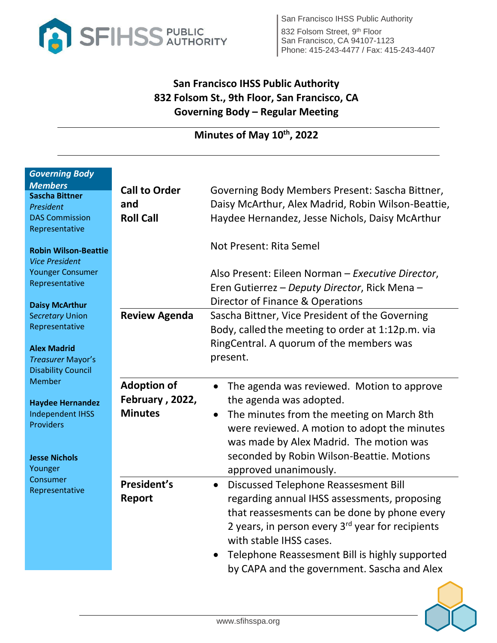

# **San Francisco IHSS Public Authority 832 Folsom St., 9th Floor, San Francisco, CA Governing Body – Regular Meeting**

## **Minutes of May 10th, 2022**

| <b>Governing Body</b><br><b>Members</b><br><b>Sascha Bittner</b><br>President<br><b>DAS Commission</b><br>Representative<br><b>Robin Wilson-Beattie</b><br><b>Vice President</b><br><b>Younger Consumer</b><br>Representative | <b>Call to Order</b><br>and<br><b>Roll Call</b> | Governing Body Members Present: Sascha Bittner,<br>Daisy McArthur, Alex Madrid, Robin Wilson-Beattie,<br>Haydee Hernandez, Jesse Nichols, Daisy McArthur<br>Not Present: Rita Semel<br>Also Present: Eileen Norman - Executive Director,<br>Eren Gutierrez – Deputy Director, Rick Mena –                                           |
|-------------------------------------------------------------------------------------------------------------------------------------------------------------------------------------------------------------------------------|-------------------------------------------------|-------------------------------------------------------------------------------------------------------------------------------------------------------------------------------------------------------------------------------------------------------------------------------------------------------------------------------------|
| <b>Daisy McArthur</b>                                                                                                                                                                                                         |                                                 | Director of Finance & Operations                                                                                                                                                                                                                                                                                                    |
| <b>Secretary Union</b><br>Representative                                                                                                                                                                                      | <b>Review Agenda</b>                            | Sascha Bittner, Vice President of the Governing<br>Body, called the meeting to order at 1:12p.m. via<br>RingCentral. A quorum of the members was                                                                                                                                                                                    |
| <b>Alex Madrid</b><br>Treasurer Mayor's<br><b>Disability Council</b><br><b>Member</b><br><b>Haydee Hernandez</b><br><b>Independent IHSS</b><br><b>Providers</b><br><b>Jesse Nichols</b>                                       |                                                 | present.                                                                                                                                                                                                                                                                                                                            |
|                                                                                                                                                                                                                               | <b>Adoption of</b><br>February, 2022,           | The agenda was reviewed. Motion to approve<br>the agenda was adopted.                                                                                                                                                                                                                                                               |
|                                                                                                                                                                                                                               | <b>Minutes</b>                                  | The minutes from the meeting on March 8th<br>were reviewed. A motion to adopt the minutes<br>was made by Alex Madrid. The motion was<br>seconded by Robin Wilson-Beattie. Motions                                                                                                                                                   |
| Younger                                                                                                                                                                                                                       |                                                 | approved unanimously.                                                                                                                                                                                                                                                                                                               |
| Consumer<br>Representative                                                                                                                                                                                                    | President's<br>Report                           | Discussed Telephone Reassesment Bill<br>$\bullet$<br>regarding annual IHSS assessments, proposing<br>that reassesments can be done by phone every<br>2 years, in person every $3rd$ year for recipients<br>with stable IHSS cases.<br>Telephone Reassesment Bill is highly supported<br>by CAPA and the government. Sascha and Alex |

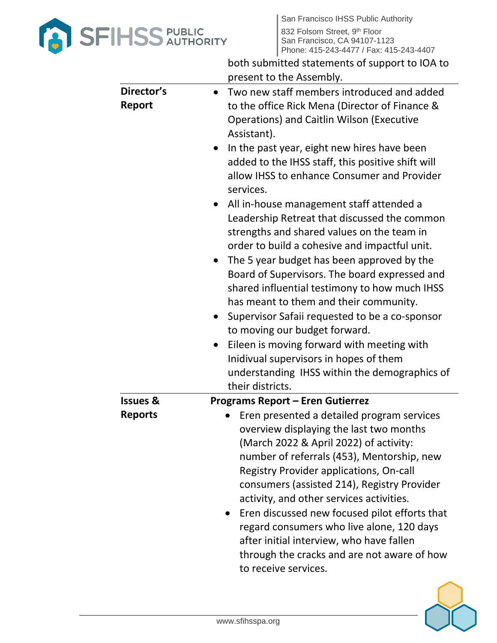

|                      | both submitted statements of support to IOA to<br>present to the Assembly.                                                                                                                                                                                                                                                                                                                                                                                                                                                                                                                                                                                                                                                                                                                                                                                                                                                                                                                                      |
|----------------------|-----------------------------------------------------------------------------------------------------------------------------------------------------------------------------------------------------------------------------------------------------------------------------------------------------------------------------------------------------------------------------------------------------------------------------------------------------------------------------------------------------------------------------------------------------------------------------------------------------------------------------------------------------------------------------------------------------------------------------------------------------------------------------------------------------------------------------------------------------------------------------------------------------------------------------------------------------------------------------------------------------------------|
| Director's<br>Report | • Two new staff members introduced and added<br>to the office Rick Mena (Director of Finance &<br><b>Operations) and Caitlin Wilson (Executive</b><br>Assistant).<br>In the past year, eight new hires have been<br>$\bullet$<br>added to the IHSS staff, this positive shift will<br>allow IHSS to enhance Consumer and Provider<br>services.<br>• All in-house management staff attended a<br>Leadership Retreat that discussed the common<br>strengths and shared values on the team in<br>order to build a cohesive and impactful unit.<br>The 5 year budget has been approved by the<br>$\bullet$<br>Board of Supervisors. The board expressed and<br>shared influential testimony to how much IHSS<br>has meant to them and their community.<br>Supervisor Safaii requested to be a co-sponsor<br>$\bullet$<br>to moving our budget forward.<br>Eileen is moving forward with meeting with<br>Inidivual supervisors in hopes of them<br>understanding IHSS within the demographics of<br>their districts. |
| <b>Issues &amp;</b>  | <b>Programs Report - Eren Gutierrez</b>                                                                                                                                                                                                                                                                                                                                                                                                                                                                                                                                                                                                                                                                                                                                                                                                                                                                                                                                                                         |
| <b>Reports</b>       | Eren presented a detailed program services<br>overview displaying the last two months<br>(March 2022 & April 2022) of activity:<br>number of referrals (453), Mentorship, new<br><b>Registry Provider applications, On-call</b><br>consumers (assisted 214), Registry Provider<br>activity, and other services activities.<br>Eren discussed new focused pilot efforts that<br>regard consumers who live alone, 120 days<br>after initial interview, who have fallen<br>through the cracks and are not aware of how<br>to receive services.                                                                                                                                                                                                                                                                                                                                                                                                                                                                     |

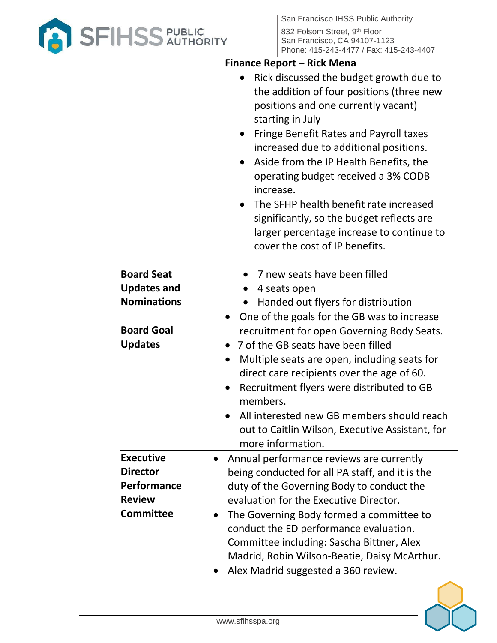

### **Finance Report – Rick Mena**

| • Rick discussed the budget growth due to |
|-------------------------------------------|
| the addition of four positions (three new |
| positions and one currently vacant)       |
| starting in July                          |

- Fringe Benefit Rates and Payroll taxes increased due to additional positions.
- Aside from the IP Health Benefits, the operating budget received a 3% CODB increase.
- The SFHP health benefit rate increased significantly, so the budget reflects are larger percentage increase to continue to cover the cost of IP benefits.

| <b>Board Seat</b>                                                                       | 7 new seats have been filled                                                                                                                                                                                                                                                                                                                                                                                              |  |
|-----------------------------------------------------------------------------------------|---------------------------------------------------------------------------------------------------------------------------------------------------------------------------------------------------------------------------------------------------------------------------------------------------------------------------------------------------------------------------------------------------------------------------|--|
| <b>Updates and</b>                                                                      | 4 seats open                                                                                                                                                                                                                                                                                                                                                                                                              |  |
| <b>Nominations</b>                                                                      | Handed out flyers for distribution                                                                                                                                                                                                                                                                                                                                                                                        |  |
| <b>Board Goal</b><br><b>Updates</b>                                                     | One of the goals for the GB was to increase<br>recruitment for open Governing Body Seats.<br>• 7 of the GB seats have been filled<br>Multiple seats are open, including seats for<br>direct care recipients over the age of 60.<br>Recruitment flyers were distributed to GB<br>members.<br>All interested new GB members should reach<br>out to Caitlin Wilson, Executive Assistant, for<br>more information.            |  |
| <b>Executive</b><br><b>Director</b><br>Performance<br><b>Review</b><br><b>Committee</b> | Annual performance reviews are currently<br>being conducted for all PA staff, and it is the<br>duty of the Governing Body to conduct the<br>evaluation for the Executive Director.<br>The Governing Body formed a committee to<br>$\bullet$<br>conduct the ED performance evaluation.<br>Committee including: Sascha Bittner, Alex<br>Madrid, Robin Wilson-Beatie, Daisy McArthur.<br>Alex Madrid suggested a 360 review. |  |

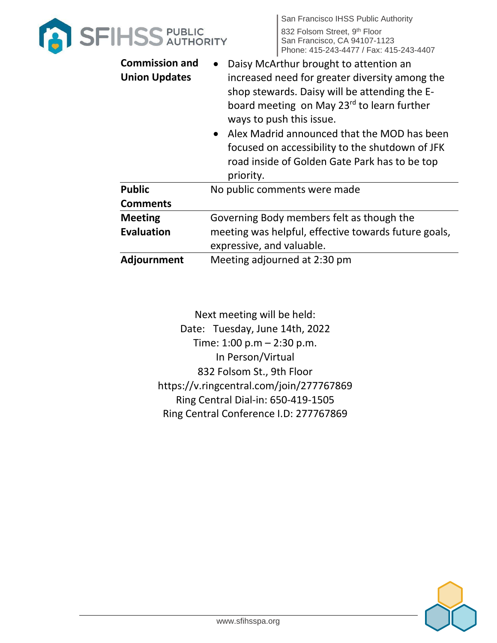

| <b>Commission and</b><br><b>Union Updates</b> | Daisy McArthur brought to attention an<br>increased need for greater diversity among the<br>shop stewards. Daisy will be attending the E-<br>board meeting on May 23rd to learn further<br>ways to push this issue.<br>• Alex Madrid announced that the MOD has been<br>focused on accessibility to the shutdown of JFK<br>road inside of Golden Gate Park has to be top<br>priority. |
|-----------------------------------------------|---------------------------------------------------------------------------------------------------------------------------------------------------------------------------------------------------------------------------------------------------------------------------------------------------------------------------------------------------------------------------------------|
| <b>Public</b>                                 | No public comments were made                                                                                                                                                                                                                                                                                                                                                          |
| <b>Comments</b>                               |                                                                                                                                                                                                                                                                                                                                                                                       |
| <b>Meeting</b>                                | Governing Body members felt as though the                                                                                                                                                                                                                                                                                                                                             |
| <b>Evaluation</b>                             | meeting was helpful, effective towards future goals,                                                                                                                                                                                                                                                                                                                                  |
|                                               | expressive, and valuable.                                                                                                                                                                                                                                                                                                                                                             |
| Adjournment                                   | Meeting adjourned at 2:30 pm                                                                                                                                                                                                                                                                                                                                                          |

Next meeting will be held: Date: Tuesday, June 14th, 2022 Time: 1:00 p.m – 2:30 p.m. In Person/Virtual 832 Folsom St., 9th Floor https://v.ringcentral.com/join/277767869 Ring Central Dial-in: 650-419-1505 Ring Central Conference I.D: 277767869

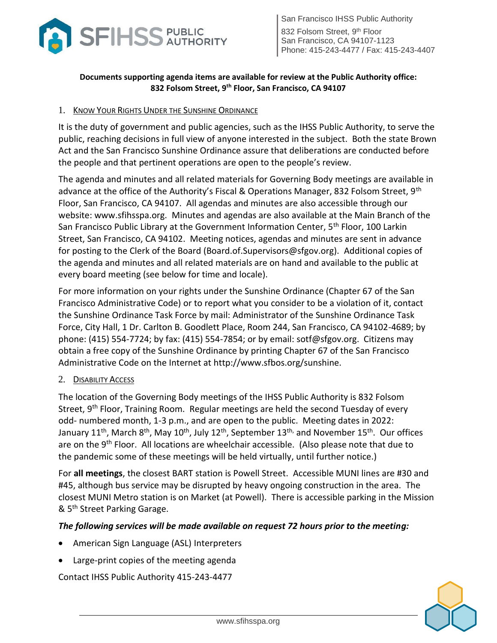

San Francisco IHSS Public Authority 832 Folsom Street, 9<sup>th</sup> Floor San Francisco, CA 94107-1123 Phone: 415-243-4477 / Fax: 415-243-4407

#### **Documents supporting agenda items are available for review at the Public Authority office: 832 Folsom Street, 9th Floor, San Francisco, CA 94107**

#### 1. KNOW YOUR RIGHTS UNDER THE SUNSHINE ORDINANCE

It is the duty of government and public agencies, such as the IHSS Public Authority, to serve the public, reaching decisions in full view of anyone interested in the subject. Both the state Brown Act and the San Francisco Sunshine Ordinance assure that deliberations are conducted before the people and that pertinent operations are open to the people's review.

The agenda and minutes and all related materials for Governing Body meetings are available in advance at the office of the Authority's Fiscal & Operations Manager, 832 Folsom Street,  $9<sup>th</sup>$ Floor, San Francisco, CA 94107. All agendas and minutes are also accessible through our website: [www.sfihsspa.org.](http://www.sfihsspa.org/) Minutes and agendas are also available at the Main Branch of the San Francisco Public Library at the Government Information Center, 5<sup>th</sup> Floor, 100 Larkin Street, San Francisco, CA 94102. Meeting notices, agendas and minutes are sent in advance for posting to the Clerk of the Board (Board.of.Supervisors@sfgov.org). Additional copies of the agenda and minutes and all related materials are on hand and available to the public at every board meeting (see below for time and locale).

For more information on your rights under the Sunshine Ordinance (Chapter 67 of the San Francisco Administrative Code) or to report what you consider to be a violation of it, contact the Sunshine Ordinance Task Force by mail: Administrator of the Sunshine Ordinance Task Force, City Hall, 1 Dr. Carlton B. Goodlett Place, Room 244, San Francisco, CA 94102-4689; by phone: (415) 554-7724; by fax: (415) 554-7854; or by email: [sotf@sfgov.org.](mailto:sotf@sfgov.org) Citizens may obtain a free copy of the Sunshine Ordinance by printing Chapter 67 of the San Francisco Administrative Code on the Internet at [http://www.sfbos.org/sunshine.](http://www.sfbos.org/sunshine)

#### 2. DISABILITY ACCESS

The location of the Governing Body meetings of the IHSS Public Authority is 832 Folsom Street, 9<sup>th</sup> Floor, Training Room. Regular meetings are held the second Tuesday of every odd- numbered month, 1-3 p.m., and are open to the public. Meeting dates in 2022: January 11<sup>th</sup>, March 8<sup>th</sup>, May 10<sup>th</sup>, July 12<sup>th</sup>, September 13<sup>th,</sup> and November 15<sup>th</sup>. Our offices are on the 9<sup>th</sup> Floor. All locations are wheelchair accessible. (Also please note that due to the pandemic some of these meetings will be held virtually, until further notice.)

For **all meetings**, the closest BART station is Powell Street. Accessible MUNI lines are #30 and #45, although bus service may be disrupted by heavy ongoing construction in the area. The closest MUNI Metro station is on Market (at Powell). There is accessible parking in the Mission & 5<sup>th</sup> Street Parking Garage.

#### *The following services will be made available on request 72 hours prior to the meeting:*

- American Sign Language (ASL) Interpreters
- Large-print copies of the meeting agenda

Contact IHSS Public Authority 415-243-4477